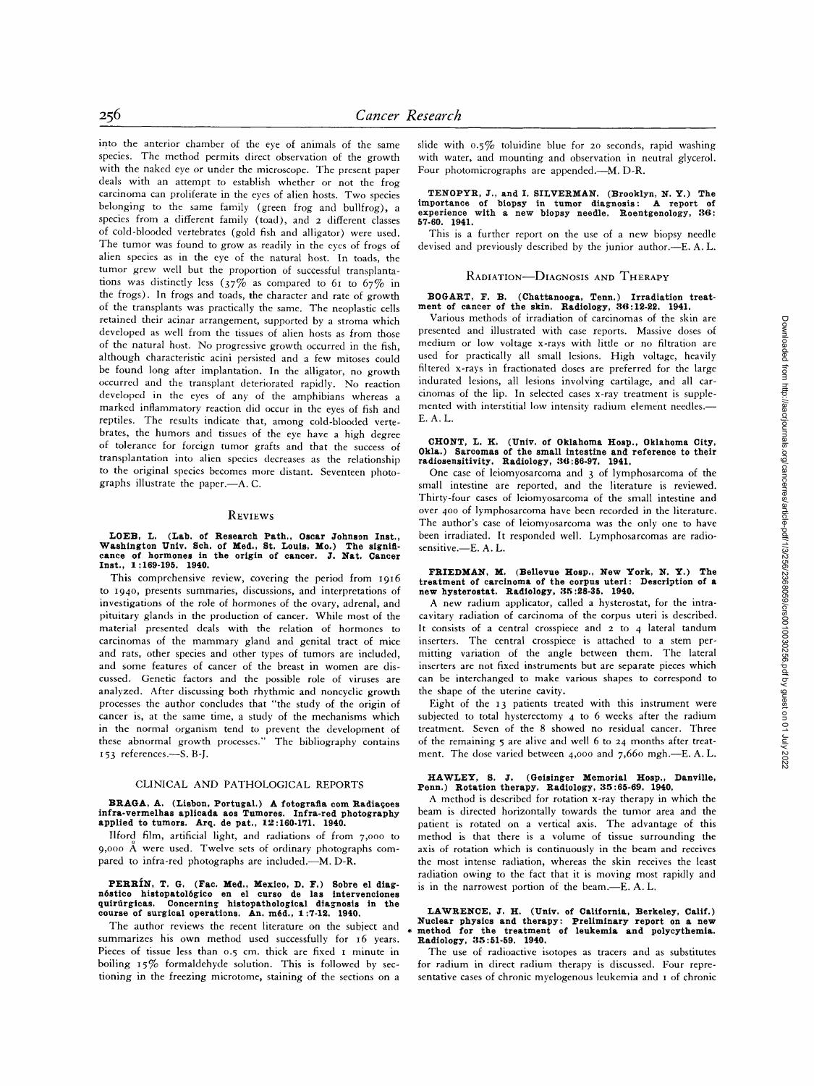into the anterior chamber of the eye of animals of the same species. The method permits direct observation of the growth with the naked eye or under the microscope. The present paper deals with an attempt to establish whether or not the frog carcinoma can proliferate in the eyes of alien hosts. Two species belonging to the same family (green frog and bullfrog), a species from a different family (toad), and 2 different classes of cold-blooded vertebrates (gold fish and alligator) were used. The tumor was found to grow as readily in the eyes of frogs of alien species as in the eye of the natural host. In toads, the tumor grew well but the proportion of successful transplantations was distinctly less ( $37\%$  as compared to 61 to  $67\%$  in the frogs). In frogs and toads, the character and rate of growth of the transplants was practically the same. The neoplastic cells retained their acinar arrangement, supported by a stroma which developed as well from the tissues of alien hosts as from those of the natural host. No progressive growth occurred in the fish, although characteristic acini persisted and a few mitoses could be found long after implantation. In the alligator, no growth occurred and the transplant deteriorated rapidly. No reaction developed in the eyes of any of the amphibians whereas a marked inflammatory reaction did occur in the eyes of fish and reptiles. The results indicate that, among cold-blooded vertebrates, the humors and tissues of the eye have a high degree of tolerance for foreign tumor grafts and that the success of transplantation into alien species decreases as the relationship to the original species becomes more distant. Seventeen photographs illustrate the paper.---A.C.

#### **REVIEWS**

# **LOEB, L. (Lab. of Research Path., Oscar Johnson Inst., Washington Univ. Sch. of Med., St. Louis, Mo.) The signifi-cance of hormones in the origin of cancer. J. Nat. Cancer Inst., 1:169-195. 1940.**

This comprehensive review, covering the period from I916 to 194o, presents summaries, discussions, and interpretations of investigations of the role of hormones of the ovary, adrenal, and pituitary glands in the production of cancer. While most of the material presented deals with the relation of hormones to carcinomas of the mammary gland and genital tract of mice and rats, other species and other types of tumors are included, and some features of cancer of the breast in women are discussed. Genetic factors and the possible role of viruses are analyzed. After discussing both rhythmic and noncyclic growth processes the author concludes that "the study of the origin of cancer is, at the same time, a study of the mechanisms which in the normal organism tend to prevent the development of these abnormal growth processes." The bibliography contains 153 references.-S. B-J.

#### CLINICAL AND PATHOLOGICAL REPORTS

## **BRAGA, A.** (Lisbon, Portugal.) A fotografia com Radiações **infra-vermelhas aplicada aos Tumores. Infra-red photography applied to tumors. Arq. de pat., 12:160.171. 1940.**

Ilford film, artificial light, and radiations of from 7,000 to 9,ooo A were used. Twelve sets of ordinary photographs compared to infra-red photographs are included.--M. D-R.

### PERRIN, T. G. (Fac. Med., Mexico, D. F.) Sobre el diagnóstico histopatológico en el curso de las intervenciones<br>quirúrgicas. Concerning histopathological diagnosis in the **course of surgical operations. An. m6d., 1:7-12. 1940.**

The author reviews the recent literature on the subject and summarizes his own method used successfully for 16 years. Pieces of tissue less than 0.5 cm. thick are fixed I minute in boiling 15% formaldehyde solution. This is followed by sectioning in the freezing microtome, staining of the sections on a

slide with 0.5% toluidine blue for 2o seconds, rapid washing with water, and mounting and observation in neutral glycerol. Four photomicrographs are appended.---M. D-R.

# **TENOPYR, J., and I. SILVERMAN. (Brooklyn, N. Y.) The importance of biopsy in tumor diagnosis: A report of experience with a new biopsy needle. Roentgenology, 36: 67-60. 1941.**

This is a further report on the use of a new biopsy needle devised and previously described by the junior author.--E. A. L.

### RADIATION-DIAGNOSIS AND THERAPY

#### **BOGART, F. B. (Chattanooga, Tenn.) Irradiation treatment of cancer of the skin. Radiology, 36:12-22. 1941.**

Various methods of irradiation of carcinomas of the skin are presented and illustrated with case reports. Massive doses of medium or low voltage x-rays with little or no filtration are used for practically all small lesions. High voltage, heavily filtered x-rays in fractionated doses are preferred for the large indurated lesions, all lesions involving cartilage, and all carcinomas of the lip. In selected cases x-ray treatment is supplemented with interstitial low intensity radium element needles.-E. A. L.

#### **CHONT, L. K. (Univ. of Oklahoma Hosp., Oklahoma City, 0kla.) Sarcomas of the small intestine and reference to their radiosensitivity. Radiology, fl6:86-97. 1941.**

One case of leiomyosarcoma and 3 of lymphosarcoma of the small intestine are reported, and the literature is reviewed. Thirty-four cases of leiomyosarcoma of the small intestine and over 4oo of lymphosarcoma have been recorded in the literature. The author's case of leiomyosarcoma was the only one to have been irradiated. It responded well. Lymphosarcomas are radiosensitive.--E. A. L.

## **FRIEDMAN, M. (Bellevue Hosp., New York, N. Y.) The treatment of carcinoma of the corpus uteri: Description of a new hysterostat. Radiology, 35:28-85. 1940.**

A new radium applicator, called a hysterostat, for the intracavitary radiation of carcinoma of the corpus uteri is described. It consists of a central crosspiece and 2 to 4 lateral tandum inserters. The central crosspiece is attached to a stem permitting variation of the angle between them. The lateral inserters are not fixed instruments but are separate pieces which can be interchanged to make various shapes to correspond to the shape of the uterine cavity.

Eight of the I3 patients treated with this instrument were subjected to total hysterectomy 4 to 6 weeks after the radium treatment. Seven of the 8 showed no residual cancer. Three of the remaining 5 are alive and well 6 to 24 months after treatment. The dose varied between 4,000 and 7,660 mgh.-E. A. L.

#### **HAWLEY, S. J. (Geisinger Memorial Hosp., Danville, Penn.) Rotation therapy. Radiology, 35:66-69. 1940.**

A method is described for rotation x-ray therapy in which the beam is directed horizontally towards the tumor area and the patient is rotated on a vertical axis. The advantage of this method is that there is a volume of tissue surrounding the axis of rotation which is continuously in the beam and receives the most intense radiation, whereas the skin receives the least radiation owing to the fact that it is moving most rapidly and is in the narrowest portion of the beam.--E. A. L.

### **LAWRENCE, J. H. (Univ. of California, Berkeley, Calif.) Nuclear physics and therapy: Preliminary report on a new method for the treatment of leukemia and polycythemia. Radiology, 35:51-59. 1940.**

The use of radioactive isotopes as tracers and as substitutes for radium in direct radium therapy is discussed. Four representative cases of chronic myelogenous leukemia and 1 of chronic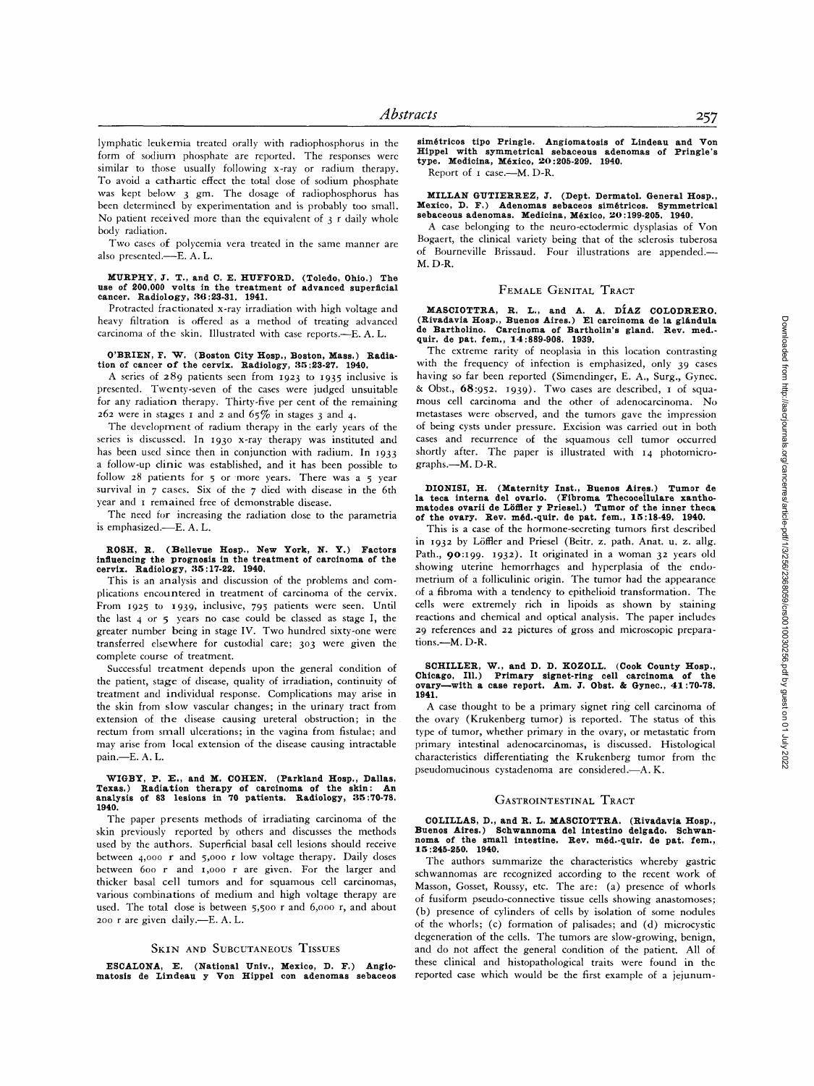lymphatic leukemia treated orally with radiophosphorus in the form of sodium phosphate are reported. The responses were similar to those usually following x-ray or radium therapy. To avoid a cathartic effect the total dose of sodium phosphate was kept below 3 gm. The dosage of radiophosphorus has been determined by experimentation and is probably too small. No patient received more than the equivalent of  $3$  r daily whole body radiation.

Two cases of polycemia vera treated in the same manner are also presented.-E. A. L.

### **MURPHY, ft. T., and C. E. HUFFORD. (Toledo, Ohio.) The use of 200,000 volts in the treatment of advanced superficial cancer. Radiology, 36:23-31. 1941.**

Protracted fractionated x-ray irradiation with high voltage and heavy filtration is offered as a method of treating advanced carcinoma of the skin. Illustrated with case reports.--E.A.L.

#### **0'BRIEN, F. W.** (Boston City Hosp., Boston, Mass.) Radia**tion of cancer of the cervix. Radiology, 35:23-27. 1940.**

A series of  $289$  patients seen from 1923 to 1935 inclusive is presented. Twenty-seven of the cases were judged unsuitable for any radiation therapy. Thirty-five per cent of the remaining  $262$  were in stages 1 and 2 and  $65\%$  in stages 3 and 4.

The development of radium therapy in the early years of the series is discussed. In 1930 x-ray therapy was instituted and has been used since then in conjunction with radium. In 1933 a follow-up clinic was established, and it has been possible to follow 28 patients for 5 or more years. There was a 5 year survival in 7 cases. Six of the 7 died with disease in the 6th year and I remained free of demonstrable disease.

The need for increasing the radiation dose to the parametria is emphasized.-E. A. L.

## **ROSH, R. (Bellevue Hosp., New York, N. Y.) Factors influencing the prognosis in the treatment of carcinoma of the cervix. Radiology, 35:17-22. 1940.**

This is an analysis and discussion of the problems and complications encountered in treatment of carcinoma of the cervix. From I925 to I939, inclusive, 795 patients were seen. Until the last 4 or 5 years no case could be classed as stage I, the greater number being in stage IV. Two hundred sixty-one were transferred elsewhere for custodial care; 303 were given the complete course of treatment.

Successful treatment depends upon the general condition of the patient, stage of disease, quality of irradiation, continuity of treatment and individual response. Complications may arise in the skin from slow vascular changes; in the urinary tract from extension of the disease causing ureteral obstruction; in the rectum from small ulcerations; in the vagina from fistulae; and may arise from local extension of the disease causing intractable pain.-E. A. L.

### WIGBY, P. E., and M. COHEN. (Parkland Hosp., Dallas, **Texas.) Radiation therapy of carcinoma of the skin: An analysis of 83 lesions in 70 patients. Radiology, 35:70-78. 1940.**

The paper presents methods of irradiating carcinoma of the skin previously reported by others and discusses the methods used by the authors. Superficial basal cell lesions should receive between 4,000 r and 5,000 r low voltage therapy. Daily doses between 60o r and I,OOO r are given. For the larger and thicker basal cell tumors and for squamous cell carcinomas, various combinations of medium and high voltage therapy are used. The total dose is between 5,500 r and 6,ooo r, and about 200 r are given daily.--E. A. L.

#### SKIN AND SUBCUTANEOUS TISSUES

ESCALONA, E. (National Univ., Mexico, D. F.) Angio**matosis de Lindeau y Von Hippel con adenomas sebaceos**  **sim6tricos tipo Pringle. Angiomatosis of Lindeau and Von Hippel with symmetrical sebaceous adenomas of Pringle's type. Medicina, M6xico, "20:205-209. 1940.** 

Report of 1 case.--- M. D-R.

**MILLAN GUTIERREZ, I. (Dept. Dermatol. General Hosp., Mexico, D. F.) Adenomas sebaceos sim6tricos. Symmetrical sebaceous adenomas. Medicina, M6xico, '20:199-205. 1940.** 

A case belonging to the neuro-ectodermic dysplasias of Von Bogaert, the clinical variety being that of the sclerosis tuberosa of Bourneville Brissaud. Four illustrations are appended.-M. D-R.

#### FEMALE GENITAL TRACT

MASCIOTTRA, R. L., and A. A. DIAZ COLODRERO.<br>(Rivadavia Hosp., Buenos Aires.) El carcinoma de la glándula<br>de Bartholino. Carcinoma of Bartholin's gland. Rev. med.<br>quir. de pat. fem., 14:889-908. 1939.

The extreme rarity of neoplasia in this location contrasting with the frequency of infection is emphasized, only 39 cases having so far been reported (Simendinger, E. A., Surg., Gynec. & Obst., 68:952. 1939). Two cases are described, I of squamous cell carcinoma and the other of adenocarcinoma. No metastases were observed, and the tumors gave the impression of being cysts under pressure. Excision was carried out in both cases and recurrence of the squamous cell tumor occurred shortly after. The paper is illustrated with 14 photomicrographs.--M. D-R.

#### **DIONISI, H. (Maternity Inst., Buenos Aires.) Tumor de la teca interns del ovario. (Fibroma Thecoceilulare xanthomatodes ovarii de LSflter y Priesel.) Tumor of the inner theca of the ovary. Rev. m6d.-quir, de pat. fern., 15:18-49. 1940.**

This is a case of the hormone-secreting tumors first described in 1932 by L6ffler and Priesel (Beitr. z. path. Anat. u. z. allg. Path., 90:199. 1932). It originated in a woman 32 years old showing uterine hemorrhages and hyperplasia of the endometrium of a folliculinic origin. The tumor had the appearance of a fibroma with a tendency to epithelioid transformation. The cells were extremely rich in lipoids as shown by staining reactions and chemical and optical analysis. The paper includes 29 references and 22 pictures of gross and microscopic preparations.--M. D-R.

### **SCHILLER, W., and D. D. X0ZOLL. (Cook County Hosp., Chicago, Ill.) Primary signet-ring cell carcinoma of the ovary--with a case report. Am. J. Obst. & Gynec., 41:70-78. 1941.**

A case thought to be a primary signet ring cell carcinoma of the ovary (Krukenberg tumor) is reported. The status of this type of tumor, whether primary in the ovary, or metastatic from primary intestinal adenocarcinomas, is discussed. Histological characteristics differentiating the Krukenberg tumor from the pseudomucinous cystadenoma are considered.--- A. K.

#### GASTROINTESTINAL TRACT

**COLILLAS, D., and R. L. MASCIOTTRA. (Xivadavia Hosp., Buenos Aires.) Schwannoma del intestino delgado. Schwannoma of the small intestine. Rev. m6d.-quir, de pat. fern., 15:245-250. 1940.** 

The authors summarize the characteristics whereby gastric schwannomas are recognized according to the recent work of Masson, Gosset, Roussy, etc. The are: (a) presence of whorls of fusiform pseudo-connective tissue cells showing anastomoses; (b) presence of cylinders of cells by isolation of some nodules of the whorls; (c) formation of palisades; and (d) microcystic degeneration of the cells. The tumors are slow-growing, benign, and do not affect the general condition of the patient. All of these clinical and histopathological traits were found in the reported case which would be the first example of a jejunum